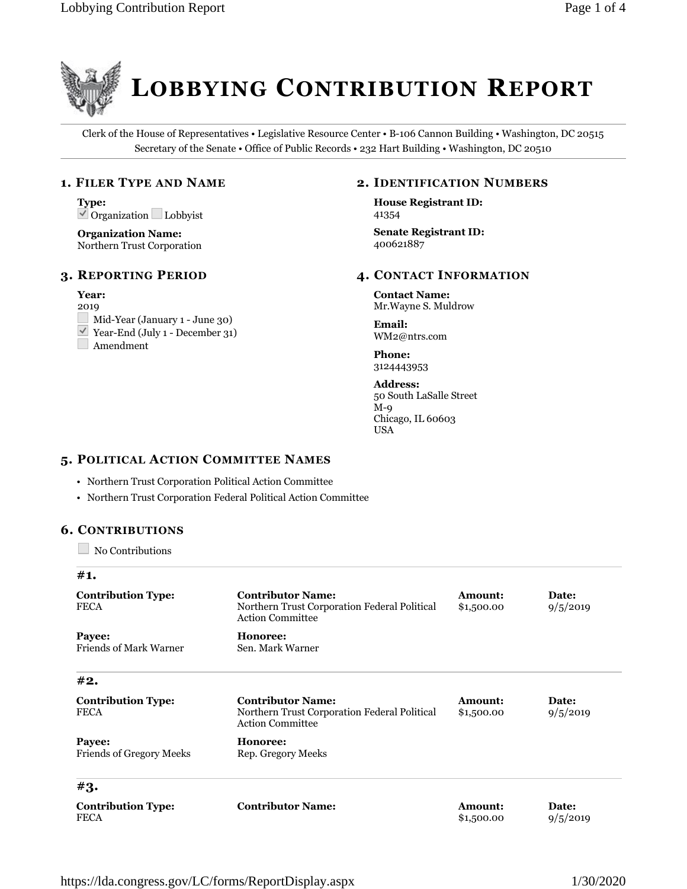

Clerk of the House of Representatives • Legislative Resource Center • B-106 Cannon Building • Washington, DC 20515 Secretary of the Senate • Office of Public Records • 232 Hart Building • Washington, DC 20510

### **1. FILER TYPE AND NAME**

**Type:**  $\vee$  Organization Lobbyist

**Organization Name:** Northern Trust Corporation

### **3. REPORTING PERIOD**

# **Year:**

2019

- Mid-Year (January 1 June 30)
- Year-End (July 1 December 31)

**Amendment** 

#### **2. IDENTIFICATION NUMBERS**

**House Registrant ID:** 41354

**Senate Registrant ID:** 400621887

#### **4. CONTACT INFORMATION**

**Contact Name:** Mr.Wayne S. Muldrow

**Email:** WM2@ntrs.com

**Phone:** 3124443953

**Address:** 50 South LaSalle Street  $M-g$ Chicago, IL 60603 USA

# **5. POLITICAL ACTION COMMITTEE NAMES**

- Northern Trust Corporation Political Action Committee
- Northern Trust Corporation Federal Political Action Committee

# **6. CONTRIBUTIONS**

 $\Box$  No Contributions

| #1.                                       |                                                                                                     |                              |                   |
|-------------------------------------------|-----------------------------------------------------------------------------------------------------|------------------------------|-------------------|
| <b>Contribution Type:</b><br><b>FECA</b>  | <b>Contributor Name:</b><br>Northern Trust Corporation Federal Political<br><b>Action Committee</b> | Amount:<br>\$1,500.00        | Date:<br>9/5/2019 |
| Payee:<br><b>Friends of Mark Warner</b>   | Honoree:<br>Sen. Mark Warner                                                                        |                              |                   |
| #2.                                       |                                                                                                     |                              |                   |
| <b>Contribution Type:</b><br><b>FECA</b>  | <b>Contributor Name:</b><br>Northern Trust Corporation Federal Political<br><b>Action Committee</b> | Amount:<br>\$1,500.00        | Date:<br>9/5/2019 |
| Payee:<br><b>Friends of Gregory Meeks</b> | Honoree:<br>Rep. Gregory Meeks                                                                      |                              |                   |
| #3.                                       |                                                                                                     |                              |                   |
| <b>Contribution Type:</b><br><b>FECA</b>  | <b>Contributor Name:</b>                                                                            | <b>Amount:</b><br>\$1,500.00 | Date:<br>9/5/2019 |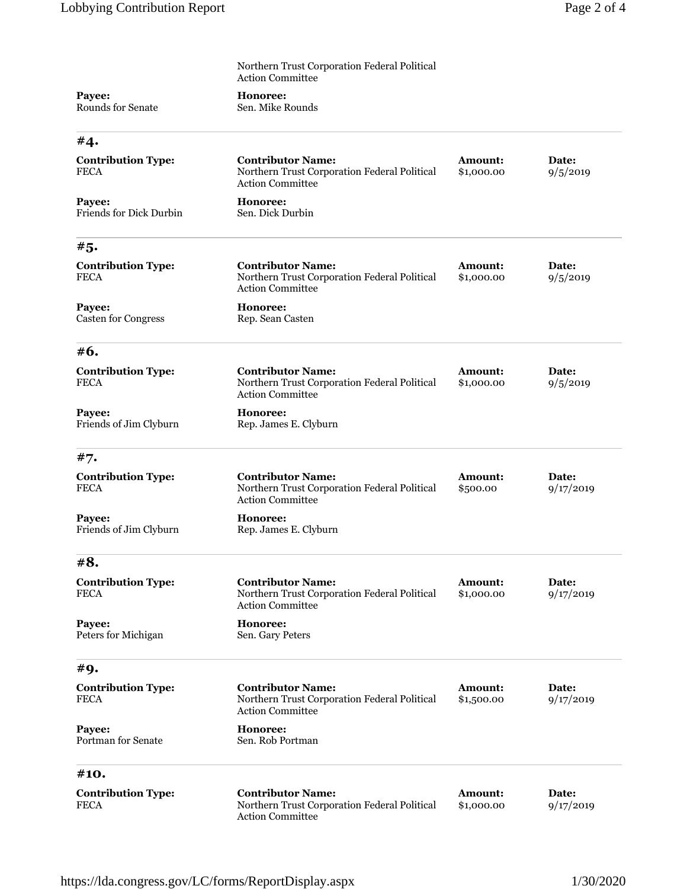|                                          | Northern Trust Corporation Federal Political<br><b>Action Committee</b>                             |                              |                    |  |  |
|------------------------------------------|-----------------------------------------------------------------------------------------------------|------------------------------|--------------------|--|--|
| Payee:<br><b>Rounds for Senate</b>       | Honoree:<br>Sen. Mike Rounds                                                                        |                              |                    |  |  |
| #4.                                      |                                                                                                     |                              |                    |  |  |
| <b>Contribution Type:</b><br><b>FECA</b> | <b>Contributor Name:</b><br>Northern Trust Corporation Federal Political<br><b>Action Committee</b> | Amount:<br>\$1,000.00        | Date:<br>9/5/2019  |  |  |
| Payee:<br><b>Friends for Dick Durbin</b> | Honoree:<br>Sen. Dick Durbin                                                                        |                              |                    |  |  |
| #5.                                      |                                                                                                     |                              |                    |  |  |
| <b>Contribution Type:</b><br><b>FECA</b> | <b>Contributor Name:</b><br>Northern Trust Corporation Federal Political<br><b>Action Committee</b> | Amount:<br>\$1,000.00        | Date:<br>9/5/2019  |  |  |
| Payee:<br><b>Casten for Congress</b>     | Honoree:<br>Rep. Sean Casten                                                                        |                              |                    |  |  |
| #6.                                      |                                                                                                     |                              |                    |  |  |
| <b>Contribution Type:</b><br><b>FECA</b> | <b>Contributor Name:</b><br>Northern Trust Corporation Federal Political<br><b>Action Committee</b> | <b>Amount:</b><br>\$1,000.00 | Date:<br>9/5/2019  |  |  |
| Payee:<br>Friends of Jim Clyburn         | Honoree:<br>Rep. James E. Clyburn                                                                   |                              |                    |  |  |
| #7.                                      |                                                                                                     |                              |                    |  |  |
| <b>Contribution Type:</b><br><b>FECA</b> | <b>Contributor Name:</b><br>Northern Trust Corporation Federal Political<br><b>Action Committee</b> | <b>Amount:</b><br>\$500.00   | Date:<br>9/17/2019 |  |  |
| Payee:<br>Friends of Jim Clyburn         | Honoree:<br>Rep. James E. Clyburn                                                                   |                              |                    |  |  |
| #8.                                      |                                                                                                     |                              |                    |  |  |
| <b>Contribution Type:</b><br><b>FECA</b> | <b>Contributor Name:</b><br>Northern Trust Corporation Federal Political<br><b>Action Committee</b> | <b>Amount:</b><br>\$1,000.00 | Date:<br>9/17/2019 |  |  |
| Payee:<br>Peters for Michigan            | Honoree:<br>Sen. Gary Peters                                                                        |                              |                    |  |  |
| #9.                                      |                                                                                                     |                              |                    |  |  |
| <b>Contribution Type:</b><br><b>FECA</b> | <b>Contributor Name:</b><br>Northern Trust Corporation Federal Political<br><b>Action Committee</b> | <b>Amount:</b><br>\$1,500.00 | Date:<br>9/17/2019 |  |  |
| Payee:<br>Portman for Senate             | Honoree:<br>Sen. Rob Portman                                                                        |                              |                    |  |  |
| #10.                                     |                                                                                                     |                              |                    |  |  |
| <b>Contribution Type:</b><br><b>FECA</b> | <b>Contributor Name:</b><br>Northern Trust Corporation Federal Political<br><b>Action Committee</b> | <b>Amount:</b><br>\$1,000.00 | Date:<br>9/17/2019 |  |  |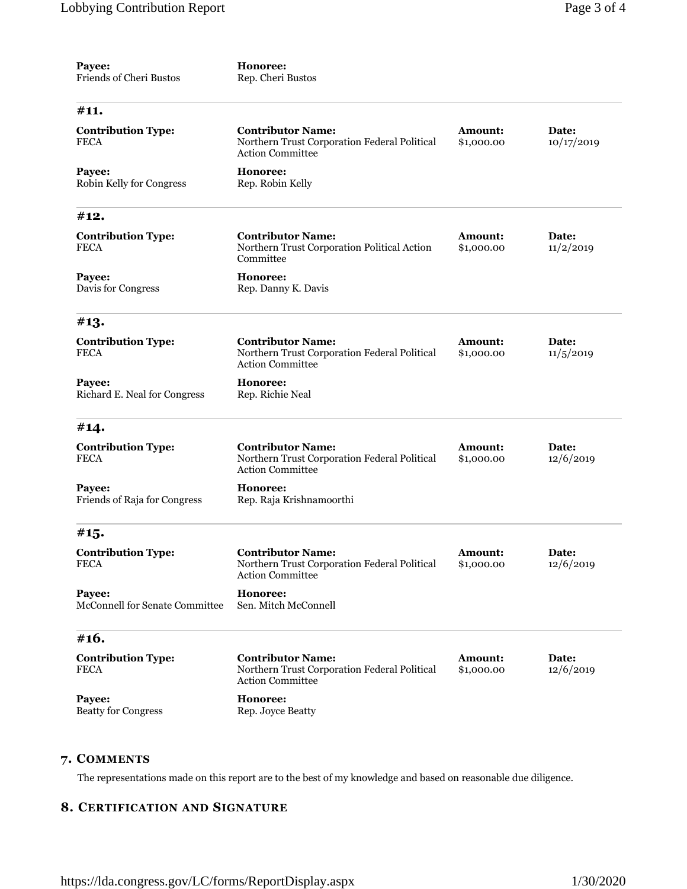| Payee:<br>Friends of Cheri Bustos        | Honoree:<br>Rep. Cheri Bustos                                                                       |                              |                     |
|------------------------------------------|-----------------------------------------------------------------------------------------------------|------------------------------|---------------------|
| #11.                                     |                                                                                                     |                              |                     |
| <b>Contribution Type:</b><br><b>FECA</b> | <b>Contributor Name:</b><br>Northern Trust Corporation Federal Political<br><b>Action Committee</b> | Amount:<br>\$1,000.00        | Date:<br>10/17/2019 |
| Payee:<br>Robin Kelly for Congress       | Honoree:<br>Rep. Robin Kelly                                                                        |                              |                     |
| #12.                                     |                                                                                                     |                              |                     |
| <b>Contribution Type:</b><br><b>FECA</b> | <b>Contributor Name:</b><br>Northern Trust Corporation Political Action<br>Committee                | <b>Amount:</b><br>\$1,000.00 | Date:<br>11/2/2019  |
| Payee:<br>Davis for Congress             | Honoree:<br>Rep. Danny K. Davis                                                                     |                              |                     |
| #13.                                     |                                                                                                     |                              |                     |
| <b>Contribution Type:</b><br><b>FECA</b> | <b>Contributor Name:</b><br>Northern Trust Corporation Federal Political<br><b>Action Committee</b> | <b>Amount:</b><br>\$1,000.00 | Date:<br>11/5/2019  |
| Payee:<br>Richard E. Neal for Congress   | Honoree:<br>Rep. Richie Neal                                                                        |                              |                     |
| #14.                                     |                                                                                                     |                              |                     |
| <b>Contribution Type:</b><br><b>FECA</b> | <b>Contributor Name:</b><br>Northern Trust Corporation Federal Political<br><b>Action Committee</b> | <b>Amount:</b><br>\$1,000.00 | Date:<br>12/6/2019  |
| Payee:<br>Friends of Raja for Congress   | Honoree:<br>Rep. Raja Krishnamoorthi                                                                |                              |                     |
| #15.                                     |                                                                                                     |                              |                     |
| <b>Contribution Type:</b><br><b>FECA</b> | <b>Contributor Name:</b><br>Northern Trust Corporation Federal Political<br><b>Action Committee</b> | Amount:<br>\$1,000.00        | Date:<br>12/6/2019  |
| Payee:<br>McConnell for Senate Committee | Honoree:<br>Sen. Mitch McConnell                                                                    |                              |                     |
| #16.                                     |                                                                                                     |                              |                     |
| <b>Contribution Type:</b><br><b>FECA</b> | <b>Contributor Name:</b><br>Northern Trust Corporation Federal Political<br><b>Action Committee</b> | Amount:<br>\$1,000.00        | Date:<br>12/6/2019  |
| Payee:<br><b>Beatty for Congress</b>     | Honoree:<br>Rep. Joyce Beatty                                                                       |                              |                     |

# **7. COMMENTS**

The representations made on this report are to the best of my knowledge and based on reasonable due diligence.

# **8. CERTIFICATION AND SIGNATURE**